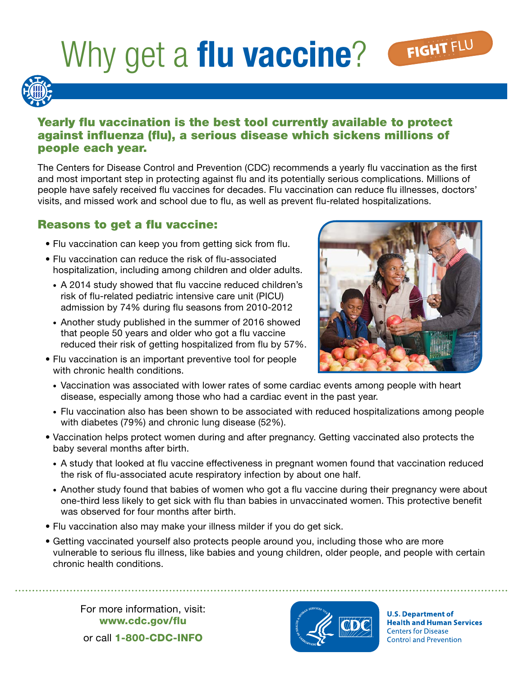# Why get a **flu vaccine**?



### Yearly flu vaccination is the best tool currently available to protect against influenza (flu), a serious disease which sickens millions of people each year.

The Centers for Disease Control and Prevention (CDC) recommends a yearly flu vaccination as the first and most important step in protecting against flu and its potentially serious complications. Millions of people have safely received flu vaccines for decades. Flu vaccination can reduce flu illnesses, doctors' visits, and missed work and school due to flu, as well as prevent flu-related hospitalizations.

### Reasons to get a flu vaccine:

- Flu vaccination can keep you from getting sick from flu.
- Flu vaccination can reduce the risk of flu-associated hospitalization, including among children and older adults.
	- A 2014 study showed that flu vaccine reduced children's risk of flu-related pediatric intensive care unit (PICU) admission by 74% during flu seasons from 2010-2012
	- Another study published in the summer of 2016 showed that people 50 years and older who got a flu vaccine reduced their risk of getting hospitalized from flu by 57%.
- Flu vaccination is an important preventive tool for people with chronic health conditions.



- Vaccination was associated with lower rates of some cardiac events among people with heart disease, especially among those who had a cardiac event in the past year.
- Flu vaccination also has been shown to be associated with reduced hospitalizations among people with diabetes (79%) and chronic lung disease (52%).
- Vaccination helps protect women during and after pregnancy. Getting vaccinated also protects the baby several months after birth.
	- A study that looked at flu vaccine effectiveness in pregnant women found that vaccination reduced the risk of flu-associated acute respiratory infection by about one half.
	- Another study found that babies of women who got a flu vaccine during their pregnancy were about one-third less likely to get sick with flu than babies in unvaccinated women. This protective benefit was observed for four months after birth.
- Flu vaccination also may make your illness milder if you do get sick.
- Getting vaccinated yourself also protects people around you, including those who are more vulnerable to serious flu illness, like babies and young children, older people, and people with certain chronic health conditions.

For more information, visit: www.cdc.gov/flu or call 1-800-CDC-INFO



**U.S. Department of Health and Human Services Centers for Disease Control and Prevention**